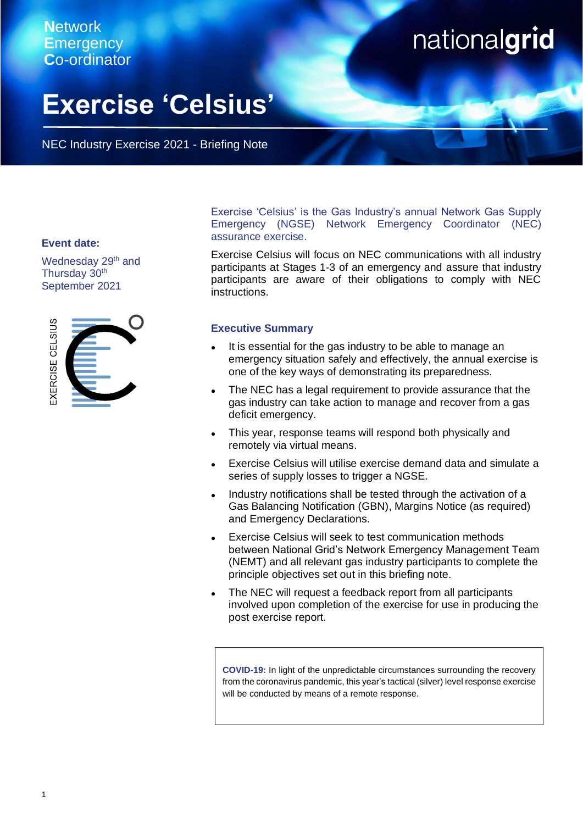# **N**etwork **E**mergency **C**o-ordinator

be read in the read in the show that is here to show the show that is here.

# nationalgrid

# **Exercise 'Celsius'**

NEC Industry Exercise 2021 - Briefing Note

## **Event date:**

Wednesday 29<sup>th</sup> and Thursday 30<sup>th</sup> September 2021



Exercise 'Celsius' is the Gas Industry's annual Network Gas Supply Emergency (NGSE) Network Emergency Coordinator (NEC) assurance exercise.

Exercise Celsius will focus on NEC communications with all industry participants at Stages 1-3 of an emergency and assure that industry participants are aware of their obligations to comply with NEC instructions.

# **Executive Summary**

- It is essential for the gas industry to be able to manage an emergency situation safely and effectively, the annual exercise is one of the key ways of demonstrating its preparedness.
- ⚫ The NEC has a legal requirement to provide assurance that the gas industry can take action to manage and recover from a gas deficit emergency.
- This year, response teams will respond both physically and remotely via virtual means.
- ⚫ Exercise Celsius will utilise exercise demand data and simulate a series of supply losses to trigger a NGSE.
- ⚫ Industry notifications shall be tested through the activation of a Gas Balancing Notification (GBN), Margins Notice (as required) and Emergency Declarations.
- ⚫ Exercise Celsius will seek to test communication methods between National Grid's Network Emergency Management Team (NEMT) and all relevant gas industry participants to complete the principle objectives set out in this briefing note.
- ⚫ The NEC will request a feedback report from all participants involved upon completion of the exercise for use in producing the post exercise report.

**COVID-19:** In light of the unpredictable circumstances surrounding the recovery from the coronavirus pandemic, this year's tactical (silver) level response exercise will be conducted by means of a remote response.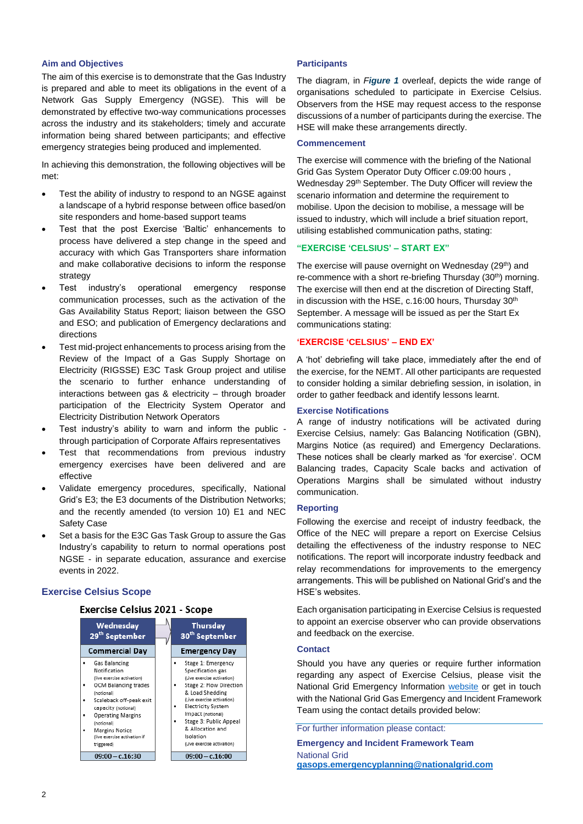#### **Aim and Objectives**

The aim of this exercise is to demonstrate that the Gas Industry is prepared and able to meet its obligations in the event of a Network Gas Supply Emergency (NGSE). This will be demonstrated by effective two-way communications processes across the industry and its stakeholders; timely and accurate information being shared between participants; and effective emergency strategies being produced and implemented.

In achieving this demonstration, the following objectives will be met:

- Test the ability of industry to respond to an NGSE against a landscape of a hybrid response between office based/on site responders and home-based support teams
- Test that the post Exercise 'Baltic' enhancements to process have delivered a step change in the speed and accuracy with which Gas Transporters share information and make collaborative decisions to inform the response strategy
- Test industry's operational emergency response communication processes, such as the activation of the Gas Availability Status Report; liaison between the GSO and ESO; and publication of Emergency declarations and directions
- Test mid-project enhancements to process arising from the Review of the Impact of a Gas Supply Shortage on Electricity (RIGSSE) E3C Task Group project and utilise the scenario to further enhance understanding of interactions between gas & electricity – through broader participation of the Electricity System Operator and Electricity Distribution Network Operators
- Test industry's ability to warn and inform the public through participation of Corporate Affairs representatives
- Test that recommendations from previous industry emergency exercises have been delivered and are effective
- Validate emergency procedures, specifically, National Grid's E3; the E3 documents of the Distribution Networks; and the recently amended (to version 10) E1 and NEC Safety Case
- Set a basis for the E3C Gas Task Group to assure the Gas Industry's capability to return to normal operations post NGSE - in separate education, assurance and exercise events in 2022.

#### **Exercise Celsius Scope**

## **Exercise Celsius 2021 - Scope**



#### **Participants**

The diagram, in *Figure 1* overleaf, depicts the wide range of organisations scheduled to participate in Exercise Celsius. Observers from the HSE may request access to the response discussions of a number of participants during the exercise. The HSE will make these arrangements directly.

#### **Commencement**

The exercise will commence with the briefing of the National Grid Gas System Operator Duty Officer c.09:00 hours , Wednesday 29<sup>th</sup> September. The Duty Officer will review the scenario information and determine the requirement to mobilise. Upon the decision to mobilise, a message will be issued to industry, which will include a brief situation report, utilising established communication paths, stating:

#### **"EXERCISE 'CELSIUS' – START EX"**

The exercise will pause overnight on Wednesday (29<sup>th</sup>) and re-commence with a short re-briefing Thursday (30<sup>th</sup>) morning. The exercise will then end at the discretion of Directing Staff, in discussion with the HSE, c.16:00 hours, Thursday 30<sup>th</sup> September. A message will be issued as per the Start Ex communications stating:

#### **'EXERCISE 'CELSIUS' – END EX'**

A 'hot' debriefing will take place, immediately after the end of the exercise, for the NEMT. All other participants are requested to consider holding a similar debriefing session, in isolation, in order to gather feedback and identify lessons learnt.

#### **Exercise Notifications**

A range of industry notifications will be activated during Exercise Celsius, namely: Gas Balancing Notification (GBN), Margins Notice (as required) and Emergency Declarations. These notices shall be clearly marked as 'for exercise'. OCM Balancing trades, Capacity Scale backs and activation of Operations Margins shall be simulated without industry communication.

### **Reporting**

Following the exercise and receipt of industry feedback, the Office of the NEC will prepare a report on Exercise Celsius detailing the effectiveness of the industry response to NEC notifications. The report will incorporate industry feedback and relay recommendations for improvements to the emergency arrangements. This will be published on National Grid's and the HSE's websites.

Each organisation participating in Exercise Celsius is requested to appoint an exercise observer who can provide observations and feedback on the exercise.

## **Contact**

Should you have any queries or require further information regarding any aspect of Exercise Celsius, please visit the National Grid Emergency Information [website](https://www.nationalgridgas.com/safety-and-emergencies/network-gas-supply-emergencies-ngse) or get in touch with the National Grid Gas Emergency and Incident Framework Team using the contact details provided below:

For further information please contact:

**Emergency and Incident Framework Team** National Grid **[gasops.emergencyplanning@nationalgrid.com](mailto:gasops.emergencyplanning@nationalgrid.com)**